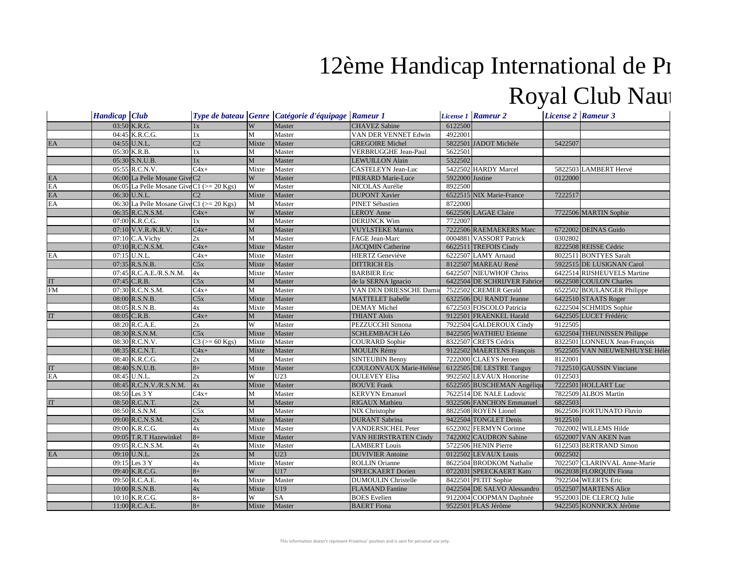## Royal Club Naut 12ème Handicap International de Pi

|                            | <b>Handicap</b> Club |                                               |                 |              | Type de bateau Genre Catégorie d'équipage Rameur 1 |                            |                 | License 1 Rameur 2           | <b>License 2 Rameur 3</b> |                                |
|----------------------------|----------------------|-----------------------------------------------|-----------------|--------------|----------------------------------------------------|----------------------------|-----------------|------------------------------|---------------------------|--------------------------------|
|                            |                      | 03:50 K.R.G.                                  | 1x              | W            | Master                                             | <b>CHAVEZ</b> Sabine       | 6122500         |                              |                           |                                |
|                            |                      | 04:45 K.R.C.G.                                | 1x              | $\mathbf{M}$ | Master                                             | VAN DER VENNET Edwin       | 4922001         |                              |                           |                                |
| EA                         |                      | 04:55 U.N.L.                                  | C <sub>2</sub>  | Mixte        | Master                                             | <b>GREGOIRE Michel</b>     |                 | 5822501 JADOT Michèle        | 5422507                   |                                |
|                            |                      | 05:30 K.R.B.                                  | 1x              | M            | Master                                             | VERBRUGGHE Jean-Paul       | 5622501         |                              |                           |                                |
|                            |                      | 05:30 S.N.U.B.                                | 1x              | $\mathbf{M}$ | Master                                             | <b>LEWUILLON Alain</b>     | 5322502         |                              |                           |                                |
|                            |                      | 05:55 R.C.N.V.                                | $C4x+$          | Mixte        | Master                                             | CASTELEYN Jean-Luc         |                 | 5422502 HARDY Marcel         |                           | 5822503 LAMBERT Hervé          |
| EA                         |                      | 06:00 La Pelle Mosane Give C2                 |                 | W            | Master                                             | PIERARD Marie-Luce         | 5922000 Justine |                              | 0122000                   |                                |
| EA                         |                      | 06:05 La Pelle Mosane Give C1 (>= 20 Kgs)     |                 | W            | Master                                             | NICOLAS Aurélie            | 8922500         |                              |                           |                                |
| $\mathop{\rm EA}\nolimits$ |                      | 06:30 U.N.L.                                  | C <sub>2</sub>  | Mixte        | Master                                             | <b>DUPONT Xavier</b>       |                 | 6522515 NIX Marie-France     | 7222517                   |                                |
| EA                         |                      | 06:30 La Pelle Mosane Give C1 ( $>$ = 20 Kgs) |                 | M            | Master                                             | PINET Sébastien            | 8722000         |                              |                           |                                |
|                            |                      | 06:35 R.C.N.S.M.                              | $C4x+$          | W            | Master                                             | <b>LEROY Anne</b>          |                 | 6622506 LAGAE Claire         |                           | 7722506 MARTIN Sophie          |
|                            |                      | 07:00 K.R.C.G.                                | 1x              | M            | Master                                             | <b>DERIJNCK Wim</b>        | 7722007         |                              |                           |                                |
|                            |                      | $07:10$ V.V.R./K.R.V.                         | $C4x+$          | M            | Master                                             | <b>VUYLSTEKE Marnix</b>    |                 | 7222506 RAEMAEKERS Marc      |                           | 6722002 DEINAS Guido           |
|                            |                      | 07:10 C.A.Vichy                               | 2x              | M            | Master                                             | FAGE Jean-Marc             |                 | 0004881 VASSORT Patrick      | 0302802                   |                                |
|                            |                      | 07:10 R.C.N.S.M.                              | $C4x+$          | Mixte        | Master                                             | <b>JACQMIN Catherine</b>   |                 | 6622511 TREFOIS Cindy        |                           | 8222508 REISSE Cédric          |
| EA                         |                      | 07:15 U.N.L.                                  | $C4x+$          | Mixte        | Master                                             | <b>HIERTZ</b> Geneviève    |                 | 6222507 LAMY Arnaud          |                           | 8022511 BONTYES Sarah          |
|                            |                      | $07:35$ R.S.N.B.                              | C5x             | Mixte        | Master                                             | <b>DITTRICH Els</b>        |                 | 8122507 MAREAU René          |                           | 5922515 DE LUSIGNAN Carol      |
|                            |                      | 07:45 R.C.A.E./R.S.N.M.                       | 4x              | Mixte        | Master                                             | <b>BARBIER Eric</b>        |                 | 6422507 NIEUWHOF Chriss      |                           | 6422514 RIJSHEUVELS Martine    |
| IT                         |                      | 07:45 C.R.B.                                  | C5x             | $\mathbf{M}$ | Master                                             | de la SERNA Ignacio        |                 | 6422504 DE SCHRIJVER Fabrice |                           | 6622508 COULON Charles         |
| FM                         |                      | 07:30 R.C.N.S.M.                              | $C4x+$          | M            | Master                                             | VAN DEN DRIESSCHE Damie    |                 | 7522502 CREMER Gerald        |                           | 6522502 BOULANGER Philippe     |
|                            |                      | 08:00 R.S.N.B.                                | C5x             | Mixte        | Master                                             | MATTELET Isabelle          |                 | 6322506 DU RANDT Jeanne      |                           | 6422510 STAATS Roger           |
|                            |                      | 08:05 R.S.N.B.                                | 4x              | Mixte        | Master                                             | <b>DEMAY Michel</b>        |                 | 6722503 FOSCOLO Patricia     |                           | 6222504 SCHMIDS Sophie         |
| IT                         |                      | $08:05$ C.R.B.                                | $C4x+$          | M            | Master                                             | <b>THIANT Aloïs</b>        |                 | 9122501 FRAENKEL Harald      |                           | 6422505 LUCET Frédéric         |
|                            |                      | 08:20 R.C.A.E.                                | 2x              | W            | Master                                             | PEZZUCCHI Simona           |                 | 7922504 GALDEROUX Cindy      | 9122505                   |                                |
|                            |                      | $08:30$ R.S.N.M.                              | C5x             | Mixte        | Master                                             | <b>SCHLEMBACH Léo</b>      |                 | 8422505 WATHIEU Etienne      |                           | 6322504 THEUNISSEN Philippe    |
|                            |                      | 08:30 R.C.N.V.                                | $C3 (= 60$ Kgs) | Mixte        | Master                                             | <b>COURARD</b> Sophie      |                 | 8322507 CRETS Cédrix         |                           | 8322501 LONNEUX Jean-François  |
|                            |                      | 08:35 R.C.N.T.                                | $C4x+$          | Mixte        | Master                                             | <b>MOULIN Rémy</b>         |                 | 9122502 MAERTENS François    |                           | 9522505 VAN NIEUWENHUYSE Hélèr |
|                            |                      | 08:40 K.R.C.G.                                | 2x              | $\mathbf{M}$ | Master                                             | <b>SINTEUBIN Benny</b>     |                 | 7222000 CLAEYS Jeroen        | 8122001                   |                                |
| IT                         |                      | 08:40 S.N.U.B.                                | $8+$            | Mixte        | Master                                             | COULONVAUX Marie-Hélène    |                 | 6122505 DE LESTRE Tanguy     |                           | 7122510 GAUSSIN Vinciane       |
| EA                         |                      | 08:45 U.N.L.                                  | 2x              | W            | U23                                                | <b>OULEVEY Elisa</b>       |                 | 9922502 LEVAUX Honorine      | 0122503                   |                                |
|                            |                      | 08:45 R.C.N.V./R.S.N.M.                       | 4x              | Mixte        | Master                                             | <b>BOUVE Frank</b>         |                 | 6522505 BUSCHEMAN Angéliqu   |                           | 7222501 HOLLART Luc            |
|                            |                      | 08:50 Les 3 Y                                 | $C4x+$          | M            | Master                                             | <b>KERVYN Emanuel</b>      |                 | 7622514 DE NALE Ludovic      |                           | 7822509 ALBOS Martin           |
| IT                         |                      | 08:50 R.C.N.T.                                | 2x              | M            | Master                                             | <b>RIGAUX Mathieu</b>      |                 | 9322506 FANCHON Emmanuel     | 6822503                   |                                |
|                            |                      | 08:50 R.S.N.M.                                | C5x             | M            | Master                                             | NIX Christophe             |                 | 8822508 ROYEN Lionel         |                           | 8622506 FORTUNATO Fluvio       |
|                            |                      | 09:00 R.C.N.S.M.                              | 2x              | Mixte        | Master                                             | <b>DURANT</b> Sabrina      |                 | 9422504 TONGLET Denis        | 9122510                   |                                |
|                            |                      | 09:00 K.R.C.G.                                | 4x              | Mixte        | Master                                             | <b>VANDERSICHEL Peter</b>  |                 | 6522002 FERMYN Corinne       |                           | 7022002 WILLEMS Hilde          |
|                            |                      | 09:05 T.R.T Hazewinkel                        | $8+$            | Mixte        | Master                                             | VAN HEIRSTRATEN Cindy      |                 | 7422002 CAUDRON Sabine       |                           | 6522007 VAN AKEN Ivan          |
|                            |                      | 09:05 R.C.N.S.M.                              | 4x              | Mixte        | Master                                             | <b>LAMBERT</b> Louis       |                 | 5722506 HENIN Pierre         |                           | 6122503 BERTRAND Simon         |
| EA                         |                      | 09:10 U.N.L.                                  | 2x              | M            | U23                                                | <b>DUVIVIER</b> Antoine    |                 | 0122502 LEVAUX Louis         | 0022502                   |                                |
|                            |                      | 09:15 Les 3 Y                                 | 4x              | Mixte        | Master                                             | <b>ROLLIN</b> Orianne      |                 | 8622504 BRODKOM Nathalie     |                           | 7022507 CLARINVAL Anne-Marie   |
|                            |                      | 09:40 K.R.C.G.                                | $8+$            | W            | U17                                                | SPEECKAERT Dorien          |                 | 0722031 SPEECKAERT Kato      |                           | 0622038 FLORQUIN Fiona         |
|                            |                      | 09:50 R.C.A.E.                                | 4x              | Mixte        | Master                                             | <b>DUMOULIN Christelle</b> |                 | 8422501 PETIT Sophie         |                           | 7922504 WEERTS Eric            |
|                            |                      | $10:00$ R.S.N.B.                              | 4x              | Mixte        | U19                                                | <b>FLAMAND</b> Fantine     |                 | 0422504 DE SALVO Alessandro  |                           | 0522507 MARTENS Alice          |
|                            |                      | 10:10 K.R.C.G.                                | $8+$            | W            | <b>SA</b>                                          | <b>BOES</b> Evelien        |                 | 9122004 COOPMAN Daphnée      |                           | 9522003 DE CLERCO Julie        |
|                            |                      | $11:00$ R.C.A.E.                              | $8+$            | Mixte        | Master                                             | <b>BAERT</b> Fiona         |                 | 9522501 FLAS Jérôme          |                           | 9422505 KONNICKX Jérôme        |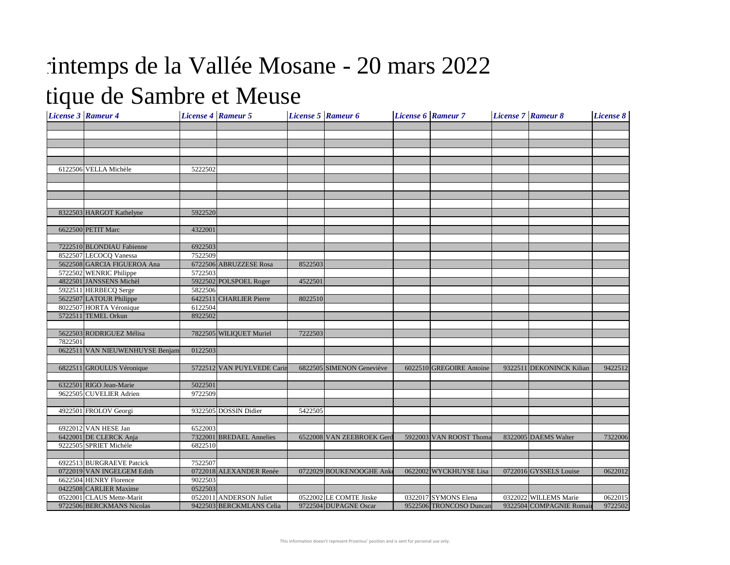## tique de Sambre et Meuse intemps de la Vallée Mosane - 20 mars 2022

| <b>License 3 Rameur 4</b> |                                 |         | <b>License 4 Rameur 5</b>  |         | License 5 Rameur 6        | <b>License 6 Rameur 7</b> | <b>License 7 Rameur 8</b> | <b>License 8</b> |
|---------------------------|---------------------------------|---------|----------------------------|---------|---------------------------|---------------------------|---------------------------|------------------|
|                           |                                 |         |                            |         |                           |                           |                           |                  |
|                           |                                 |         |                            |         |                           |                           |                           |                  |
|                           |                                 |         |                            |         |                           |                           |                           |                  |
|                           |                                 |         |                            |         |                           |                           |                           |                  |
|                           |                                 |         |                            |         |                           |                           |                           |                  |
|                           | 6122506 VELLA Michèle           | 5222502 |                            |         |                           |                           |                           |                  |
|                           |                                 |         |                            |         |                           |                           |                           |                  |
|                           |                                 |         |                            |         |                           |                           |                           |                  |
|                           |                                 |         |                            |         |                           |                           |                           |                  |
|                           |                                 |         |                            |         |                           |                           |                           |                  |
|                           | 8322503 HARGOT Kathelyne        | 5922520 |                            |         |                           |                           |                           |                  |
|                           |                                 |         |                            |         |                           |                           |                           |                  |
|                           | 6622500 PETIT Marc              | 4322001 |                            |         |                           |                           |                           |                  |
|                           |                                 |         |                            |         |                           |                           |                           |                  |
|                           | 7222510 BLONDIAU Fabienne       | 6922503 |                            |         |                           |                           |                           |                  |
|                           | 8522507 LECOCQ Vanessa          | 7522509 |                            |         |                           |                           |                           |                  |
|                           | 5622508 GARCIA FIGUEROA Ana     |         | 6722506 ABRUZZESE Rosa     | 8522503 |                           |                           |                           |                  |
|                           | 5722502 WENRIC Philippe         | 5722503 |                            |         |                           |                           |                           |                  |
|                           | 4822501 JANSSENS Michèl         |         | 5922502 POLSPOEL Roger     | 4522501 |                           |                           |                           |                  |
|                           | 5922511 HERBECQ Serge           | 5822506 |                            |         |                           |                           |                           |                  |
|                           | 5622507 LATOUR Philippe         |         | 6422511 CHARLIER Pierre    | 8022510 |                           |                           |                           |                  |
|                           | 8022507 HORTA Véronique         | 6122504 |                            |         |                           |                           |                           |                  |
|                           | 5722511 TEMEL Orkun             | 8922502 |                            |         |                           |                           |                           |                  |
|                           | 5622503 RODRIGUEZ Mélisa        |         | 7822505 WILIQUET Muriel    | 7222503 |                           |                           |                           |                  |
| 7822501                   |                                 |         |                            |         |                           |                           |                           |                  |
|                           | 0622511 VAN NIEUWENHUYSE Benjam | 0122503 |                            |         |                           |                           |                           |                  |
|                           |                                 |         |                            |         |                           |                           |                           |                  |
|                           | 6822511 GROULUS Véronique       |         | 5722512 VAN PUYLVEDE Carin |         | 6822505 SIMENON Geneviève | 6022510 GREGOIRE Antoine  | 9322511 DEKONINCK Kilian  | 9422512          |
|                           |                                 |         |                            |         |                           |                           |                           |                  |
|                           | 6322501 RIGO Jean-Marie         | 5022501 |                            |         |                           |                           |                           |                  |
|                           | 9622505 CUVELIER Adrien         | 9722509 |                            |         |                           |                           |                           |                  |
|                           |                                 |         |                            |         |                           |                           |                           |                  |
|                           | 4922501 FROLOV Georgi           |         | 9322505 DOSSIN Didier      | 5422505 |                           |                           |                           |                  |
|                           |                                 |         |                            |         |                           |                           |                           |                  |
|                           | 6922012 VAN HESE Jan            | 6522003 |                            |         |                           |                           |                           |                  |
|                           | 6422001 DE CLERCK Anja          |         | 7322001 BREDAEL Annelies   |         | 6522008 VAN ZEEBROEK Gero | 5922003 VAN ROOST Thoma   | 8322005 DAEMS Walter      | 7322006          |
|                           | 9222505 SPRIET Michèle          | 6822510 |                            |         |                           |                           |                           |                  |
|                           |                                 |         |                            |         |                           |                           |                           |                  |
|                           | 6922513 BURGRAEVE Patcick       | 7522507 |                            |         |                           |                           |                           |                  |
|                           | 0722019 VAN INGELGEM Edith      |         | 0722018 ALEXANDER Renée    |         | 0722029 BOUKENOOGHE Ank   | 0622002 WYCKHUYSE Lisa    | 0722016 GYSSELS Louise    | 0622012          |
|                           | 6622504 HENRY Florence          | 9022503 |                            |         |                           |                           |                           |                  |
|                           | 0422508 CARLIER Maxime          | 0522503 |                            |         |                           |                           |                           |                  |
|                           | 0522001 CLAUS Mette-Marit       |         | 0522011 ANDERSON Juliet    |         | 0522002 LE COMTE Jitske   | 0322017 SYMONS Elena      | 0322022 WILLEMS Marie     | 0622015          |
|                           | 9722506 BERCKMANS Nicolas       |         | 9422503 BERCKMLANS Celia   |         | 9722504 DUPAGNE Oscar     | 9522506 TRONCOSO Duncan   | 9322504 COMPAGNIE Romain  | 9722502          |